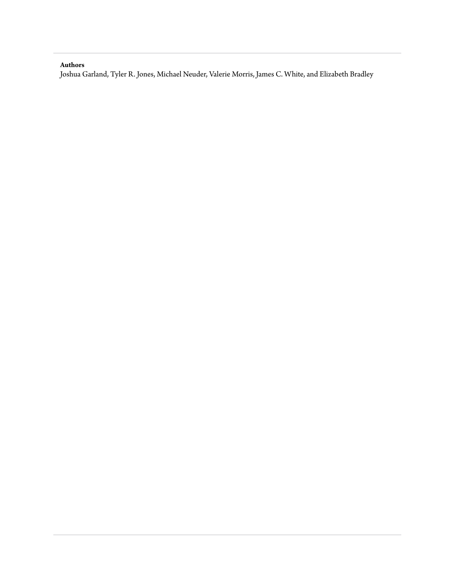## **Authors**

Joshua Garland, Tyler R. Jones, Michael Neuder, Valerie Morris, James C. White, and Elizabeth Bradley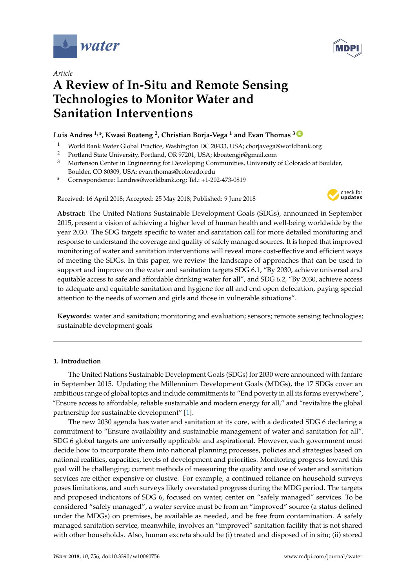



# *Article* **A Review of In-Situ and Remote Sensing Technologies to Monitor Water and Sanitation Interventions**

## **Luis Andres 1,\*, Kwasi Boateng <sup>2</sup> , Christian Borja-Vega <sup>1</sup> and Evan Thomas <sup>3</sup> [ID](https://orcid.org/0000-0003-3095-8407)**

- <sup>1</sup> World Bank Water Global Practice, Washington DC 20433, USA; cborjavega@worldbank.org
- <sup>2</sup> Portland State University, Portland, OR 97201, USA; kboatengjr@gmail.com
- <sup>3</sup> Mortenson Center in Engineering for Developing Communities, University of Colorado at Boulder, Boulder, CO 80309, USA; evan.thomas@colorado.edu
- **\*** Correspondence: Landres@worldbank.org; Tel.: +1-202-473-0819

Received: 16 April 2018; Accepted: 25 May 2018; Published: 9 June 2018



**Abstract:** The United Nations Sustainable Development Goals (SDGs), announced in September 2015, present a vision of achieving a higher level of human health and well-being worldwide by the year 2030. The SDG targets specific to water and sanitation call for more detailed monitoring and response to understand the coverage and quality of safely managed sources. It is hoped that improved monitoring of water and sanitation interventions will reveal more cost-effective and efficient ways of meeting the SDGs. In this paper, we review the landscape of approaches that can be used to support and improve on the water and sanitation targets SDG 6.1, "By 2030, achieve universal and equitable access to safe and affordable drinking water for all", and SDG 6.2, "By 2030, achieve access to adequate and equitable sanitation and hygiene for all and end open defecation, paying special attention to the needs of women and girls and those in vulnerable situations".

**Keywords:** water and sanitation; monitoring and evaluation; sensors; remote sensing technologies; sustainable development goals

## **1. Introduction**

The United Nations Sustainable Development Goals (SDGs) for 2030 were announced with fanfare in September 2015. Updating the Millennium Development Goals (MDGs), the 17 SDGs cover an ambitious range of global topics and include commitments to "End poverty in all its forms everywhere", "Ensure access to affordable, reliable sustainable and modern energy for all," and "revitalize the global partnership for sustainable development" [1].

The new 2030 agenda has water and sanitation at its core, with a dedicated SDG 6 declaring a commitment to "Ensure availability and sustainable management of water and sanitation for all". SDG 6 global targets are universally applicable and aspirational. However, each government must decide how to incorporate them into national planning processes, policies and strategies based on national realities, capacities, levels of development and priorities. Monitoring progress toward this goal will be challenging; current methods of measuring the quality and use of water and sanitation services are either expensive or elusive. For example, a continued reliance on household surveys poses limitations, and such surveys likely overstated progress during the MDG period. The targets and proposed indicators of SDG 6, focused on water, center on "safely managed" services. To be considered "safely managed", a water service must be from an "improved" source (a status defined under the MDGs) on premises, be available as needed, and be free from contamination. A safely managed sanitation service, meanwhile, involves an "improved" sanitation facility that is not shared with other households. Also, human excreta should be (i) treated and disposed of in situ; (ii) stored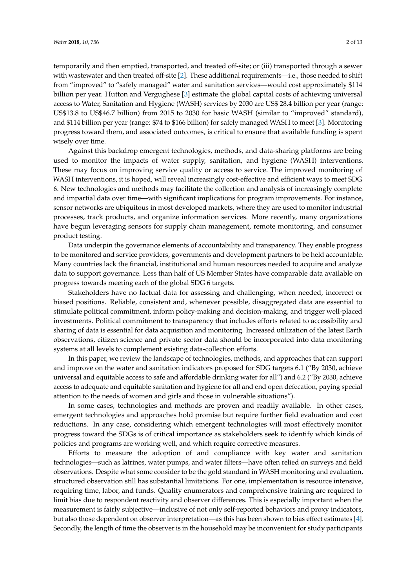temporarily and then emptied, transported, and treated off-site; or (iii) transported through a sewer with wastewater and then treated off-site [2]. These additional requirements—i.e., those needed to shift from "improved" to "safely managed" water and sanitation services—would cost approximately \$114 billion per year. Hutton and Vergughese [3] estimate the global capital costs of achieving universal access to Water, Sanitation and Hygiene (WASH) services by 2030 are US\$ 28.4 billion per year (range: US\$13.8 to US\$46.7 billion) from 2015 to 2030 for basic WASH (similar to "improved" standard), and \$114 billion per year (range: \$74 to \$166 billion) for safely managed WASH to meet [3]. Monitoring progress toward them, and associated outcomes, is critical to ensure that available funding is spent wisely over time.

Against this backdrop emergent technologies, methods, and data-sharing platforms are being used to monitor the impacts of water supply, sanitation, and hygiene (WASH) interventions. These may focus on improving service quality or access to service. The improved monitoring of WASH interventions, it is hoped, will reveal increasingly cost-effective and efficient ways to meet SDG 6. New technologies and methods may facilitate the collection and analysis of increasingly complete and impartial data over time—with significant implications for program improvements. For instance, sensor networks are ubiquitous in most developed markets, where they are used to monitor industrial processes, track products, and organize information services. More recently, many organizations have begun leveraging sensors for supply chain management, remote monitoring, and consumer product testing.

Data underpin the governance elements of accountability and transparency. They enable progress to be monitored and service providers, governments and development partners to be held accountable. Many countries lack the financial, institutional and human resources needed to acquire and analyze data to support governance. Less than half of US Member States have comparable data available on progress towards meeting each of the global SDG 6 targets.

Stakeholders have no factual data for assessing and challenging, when needed, incorrect or biased positions. Reliable, consistent and, whenever possible, disaggregated data are essential to stimulate political commitment, inform policy-making and decision-making, and trigger well-placed investments. Political commitment to transparency that includes efforts related to accessibility and sharing of data is essential for data acquisition and monitoring. Increased utilization of the latest Earth observations, citizen science and private sector data should be incorporated into data monitoring systems at all levels to complement existing data-collection efforts.

In this paper, we review the landscape of technologies, methods, and approaches that can support and improve on the water and sanitation indicators proposed for SDG targets 6.1 ("By 2030, achieve universal and equitable access to safe and affordable drinking water for all") and 6.2 ("By 2030, achieve access to adequate and equitable sanitation and hygiene for all and end open defecation, paying special attention to the needs of women and girls and those in vulnerable situations").

In some cases, technologies and methods are proven and readily available. In other cases, emergent technologies and approaches hold promise but require further field evaluation and cost reductions. In any case, considering which emergent technologies will most effectively monitor progress toward the SDGs is of critical importance as stakeholders seek to identify which kinds of policies and programs are working well, and which require corrective measures.

Efforts to measure the adoption of and compliance with key water and sanitation technologies—such as latrines, water pumps, and water filters—have often relied on surveys and field observations. Despite what some consider to be the gold standard in WASH monitoring and evaluation, structured observation still has substantial limitations. For one, implementation is resource intensive, requiring time, labor, and funds. Quality enumerators and comprehensive training are required to limit bias due to respondent reactivity and observer differences. This is especially important when the measurement is fairly subjective—inclusive of not only self-reported behaviors and proxy indicators, but also those dependent on observer interpretation—as this has been shown to bias effect estimates [4]. Secondly, the length of time the observer is in the household may be inconvenient for study participants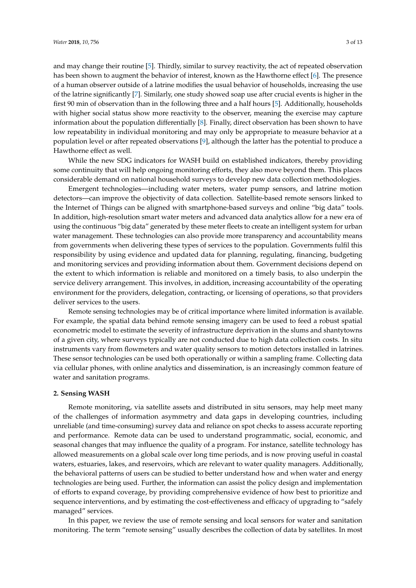and may change their routine [5]. Thirdly, similar to survey reactivity, the act of repeated observation has been shown to augment the behavior of interest, known as the Hawthorne effect [6]. The presence of a human observer outside of a latrine modifies the usual behavior of households, increasing the use of the latrine significantly [7]. Similarly, one study showed soap use after crucial events is higher in the first 90 min of observation than in the following three and a half hours [5]. Additionally, households with higher social status show more reactivity to the observer, meaning the exercise may capture information about the population differentially [8]. Finally, direct observation has been shown to have low repeatability in individual monitoring and may only be appropriate to measure behavior at a population level or after repeated observations [9], although the latter has the potential to produce a Hawthorne effect as well.

While the new SDG indicators for WASH build on established indicators, thereby providing some continuity that will help ongoing monitoring efforts, they also move beyond them. This places considerable demand on national household surveys to develop new data collection methodologies.

Emergent technologies—including water meters, water pump sensors, and latrine motion detectors—can improve the objectivity of data collection. Satellite-based remote sensors linked to the Internet of Things can be aligned with smartphone-based surveys and online "big data" tools. In addition, high-resolution smart water meters and advanced data analytics allow for a new era of using the continuous "big data" generated by these meter fleets to create an intelligent system for urban water management. These technologies can also provide more transparency and accountability means from governments when delivering these types of services to the population. Governments fulfil this responsibility by using evidence and updated data for planning, regulating, financing, budgeting and monitoring services and providing information about them. Government decisions depend on the extent to which information is reliable and monitored on a timely basis, to also underpin the service delivery arrangement. This involves, in addition, increasing accountability of the operating environment for the providers, delegation, contracting, or licensing of operations, so that providers deliver services to the users.

Remote sensing technologies may be of critical importance where limited information is available. For example, the spatial data behind remote sensing imagery can be used to feed a robust spatial econometric model to estimate the severity of infrastructure deprivation in the slums and shantytowns of a given city, where surveys typically are not conducted due to high data collection costs. In situ instruments vary from flowmeters and water quality sensors to motion detectors installed in latrines. These sensor technologies can be used both operationally or within a sampling frame. Collecting data via cellular phones, with online analytics and dissemination, is an increasingly common feature of water and sanitation programs.

## **2. Sensing WASH**

Remote monitoring, via satellite assets and distributed in situ sensors, may help meet many of the challenges of information asymmetry and data gaps in developing countries, including unreliable (and time-consuming) survey data and reliance on spot checks to assess accurate reporting and performance. Remote data can be used to understand programmatic, social, economic, and seasonal changes that may influence the quality of a program. For instance, satellite technology has allowed measurements on a global scale over long time periods, and is now proving useful in coastal waters, estuaries, lakes, and reservoirs, which are relevant to water quality managers. Additionally, the behavioral patterns of users can be studied to better understand how and when water and energy technologies are being used. Further, the information can assist the policy design and implementation of efforts to expand coverage, by providing comprehensive evidence of how best to prioritize and sequence interventions, and by estimating the cost-effectiveness and efficacy of upgrading to "safely managed" services.

In this paper, we review the use of remote sensing and local sensors for water and sanitation monitoring. The term "remote sensing" usually describes the collection of data by satellites. In most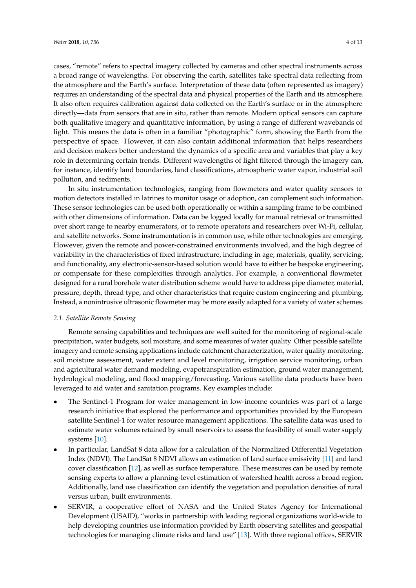cases, "remote" refers to spectral imagery collected by cameras and other spectral instruments across a broad range of wavelengths. For observing the earth, satellites take spectral data reflecting from the atmosphere and the Earth's surface. Interpretation of these data (often represented as imagery) requires an understanding of the spectral data and physical properties of the Earth and its atmosphere. It also often requires calibration against data collected on the Earth's surface or in the atmosphere directly—data from sensors that are in situ, rather than remote. Modern optical sensors can capture both qualitative imagery and quantitative information, by using a range of different wavebands of light. This means the data is often in a familiar "photographic" form, showing the Earth from the perspective of space. However, it can also contain additional information that helps researchers and decision makers better understand the dynamics of a specific area and variables that play a key role in determining certain trends. Different wavelengths of light filtered through the imagery can, for instance, identify land boundaries, land classifications, atmospheric water vapor, industrial soil pollution, and sediments.

In situ instrumentation technologies, ranging from flowmeters and water quality sensors to motion detectors installed in latrines to monitor usage or adoption, can complement such information. These sensor technologies can be used both operationally or within a sampling frame to be combined with other dimensions of information. Data can be logged locally for manual retrieval or transmitted over short range to nearby enumerators, or to remote operators and researchers over Wi-Fi, cellular, and satellite networks. Some instrumentation is in common use, while other technologies are emerging. However, given the remote and power-constrained environments involved, and the high degree of variability in the characteristics of fixed infrastructure, including in age, materials, quality, servicing, and functionality, any electronic-sensor-based solution would have to either be bespoke engineering, or compensate for these complexities through analytics. For example, a conventional flowmeter designed for a rural borehole water distribution scheme would have to address pipe diameter, material, pressure, depth, thread type, and other characteristics that require custom engineering and plumbing. Instead, a nonintrusive ultrasonic flowmeter may be more easily adapted for a variety of water schemes.

## *2.1. Satellite Remote Sensing*

Remote sensing capabilities and techniques are well suited for the monitoring of regional-scale precipitation, water budgets, soil moisture, and some measures of water quality. Other possible satellite imagery and remote sensing applications include catchment characterization, water quality monitoring, soil moisture assessment, water extent and level monitoring, irrigation service monitoring, urban and agricultural water demand modeling, evapotranspiration estimation, ground water management, hydrological modeling, and flood mapping/forecasting. Various satellite data products have been leveraged to aid water and sanitation programs. Key examples include:

- The Sentinel-1 Program for water management in low-income countries was part of a large research initiative that explored the performance and opportunities provided by the European satellite Sentinel-1 for water resource management applications. The satellite data was used to estimate water volumes retained by small reservoirs to assess the feasibility of small water supply systems [10].
- In particular, LandSat 8 data allow for a calculation of the Normalized Differential Vegetation Index (NDVI). The LandSat 8 NDVI allows an estimation of land surface emissivity [11] and land cover classification [12], as well as surface temperature. These measures can be used by remote sensing experts to allow a planning-level estimation of watershed health across a broad region. Additionally, land use classification can identify the vegetation and population densities of rural versus urban, built environments.
- SERVIR, a cooperative effort of NASA and the United States Agency for International Development (USAID), "works in partnership with leading regional organizations world-wide to help developing countries use information provided by Earth observing satellites and geospatial technologies for managing climate risks and land use" [13]. With three regional offices, SERVIR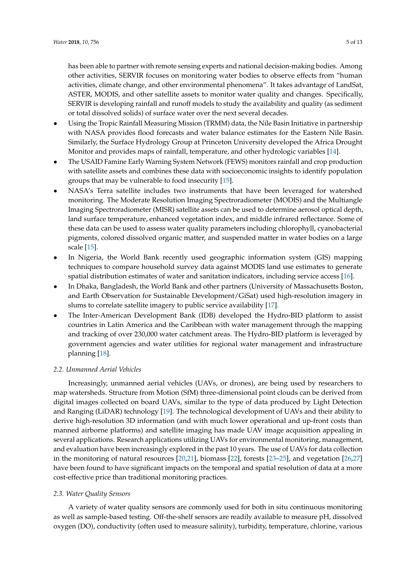has been able to partner with remote sensing experts and national decision-making bodies. Among other activities, SERVIR focuses on monitoring water bodies to observe effects from "human activities, climate change, and other environmental phenomena". It takes advantage of LandSat, ASTER, MODIS, and other satellite assets to monitor water quality and changes. Specifically, SERVIR is developing rainfall and runoff models to study the availability and quality (as sediment or total dissolved solids) of surface water over the next several decades.

- Using the Tropic Rainfall Measuring Mission (TRMM) data, the Nile Basin Initiative in partnership with NASA provides flood forecasts and water balance estimates for the Eastern Nile Basin. Similarly, the Surface Hydrology Group at Princeton University developed the Africa Drought Monitor and provides maps of rainfall, temperature, and other hydrologic variables [14].
- The USAID Famine Early Warning System Network (FEWS) monitors rainfall and crop production with satellite assets and combines these data with socioeconomic insights to identify population groups that may be vulnerable to food insecurity [15].
- NASA's Terra satellite includes two instruments that have been leveraged for watershed monitoring. The Moderate Resolution Imaging Spectroradiometer (MODIS) and the Multiangle Imaging Spectroradiometer (MISR) satellite assets can be used to determine aerosol optical depth, land surface temperature, enhanced vegetation index, and middle infrared reflectance. Some of these data can be used to assess water quality parameters including chlorophyll, cyanobacterial pigments, colored dissolved organic matter, and suspended matter in water bodies on a large scale [15].
- In Nigeria, the World Bank recently used geographic information system (GIS) mapping techniques to compare household survey data against MODIS land use estimates to generate spatial distribution estimates of water and sanitation indicators, including service access [16].
- In Dhaka, Bangladesh, the World Bank and other partners (University of Massachusetts Boston, and Earth Observation for Sustainable Development/GiSat) used high-resolution imagery in slums to correlate satellite imagery to public service availability [17].
- The Inter-American Development Bank (IDB) developed the Hydro-BID platform to assist countries in Latin America and the Caribbean with water management through the mapping and tracking of over 230,000 water catchment areas. The Hydro-BID platform is leveraged by government agencies and water utilities for regional water management and infrastructure planning [18].

## *2.2. Unmanned Aerial Vehicles*

Increasingly, unmanned aerial vehicles (UAVs, or drones), are being used by researchers to map watersheds. Structure from Motion (SfM) three-dimensional point clouds can be derived from digital images collected on board UAVs, similar to the type of data produced by Light Detection and Ranging (LiDAR) technology [19]. The technological development of UAVs and their ability to derive high-resolution 3D information (and with much lower operational and up-front costs than manned airborne platforms) and satellite imaging has made UAV image acquisition appealing in several applications. Research applications utilizing UAVs for environmental monitoring, management, and evaluation have been increasingly explored in the past 10 years. The use of UAVs for data collection in the monitoring of natural resources [20,21], biomass [22], forests [23–25], and vegetation [26,27] have been found to have significant impacts on the temporal and spatial resolution of data at a more cost-effective price than traditional monitoring practices.

#### *2.3. Water Quality Sensors*

A variety of water quality sensors are commonly used for both in situ continuous monitoring as well as sample-based testing. Off-the-shelf sensors are readily available to measure pH, dissolved oxygen (DO), conductivity (often used to measure salinity), turbidity, temperature, chlorine, various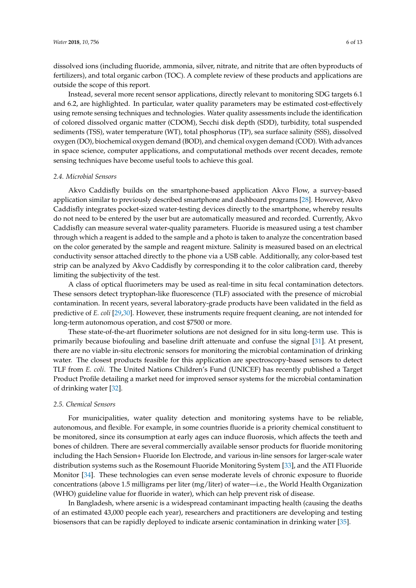dissolved ions (including fluoride, ammonia, silver, nitrate, and nitrite that are often byproducts of fertilizers), and total organic carbon (TOC). A complete review of these products and applications are outside the scope of this report.

Instead, several more recent sensor applications, directly relevant to monitoring SDG targets 6.1 and 6.2, are highlighted. In particular, water quality parameters may be estimated cost-effectively using remote sensing techniques and technologies. Water quality assessments include the identification of colored dissolved organic matter (CDOM), Secchi disk depth (SDD), turbidity, total suspended sediments (TSS), water temperature (WT), total phosphorus (TP), sea surface salinity (SSS), dissolved oxygen (DO), biochemical oxygen demand (BOD), and chemical oxygen demand (COD). With advances in space science, computer applications, and computational methods over recent decades, remote sensing techniques have become useful tools to achieve this goal.

## *2.4. Microbial Sensors*

Akvo Caddisfly builds on the smartphone-based application Akvo Flow, a survey-based application similar to previously described smartphone and dashboard programs [28]. However, Akvo Caddisfly integrates pocket-sized water-testing devices directly to the smartphone, whereby results do not need to be entered by the user but are automatically measured and recorded. Currently, Akvo Caddisfly can measure several water-quality parameters. Fluoride is measured using a test chamber through which a reagent is added to the sample and a photo is taken to analyze the concentration based on the color generated by the sample and reagent mixture. Salinity is measured based on an electrical conductivity sensor attached directly to the phone via a USB cable. Additionally, any color-based test strip can be analyzed by Akvo Caddisfly by corresponding it to the color calibration card, thereby limiting the subjectivity of the test.

A class of optical fluorimeters may be used as real-time in situ fecal contamination detectors. These sensors detect tryptophan-like fluorescence (TLF) associated with the presence of microbial contamination. In recent years, several laboratory-grade products have been validated in the field as predictive of *E. coli* [29,30]. However, these instruments require frequent cleaning, are not intended for long-term autonomous operation, and cost \$7500 or more.

These state-of-the-art fluorimeter solutions are not designed for in situ long-term use. This is primarily because biofouling and baseline drift attenuate and confuse the signal [31]. At present, there are no viable in-situ electronic sensors for monitoring the microbial contamination of drinking water. The closest products feasible for this application are spectroscopy-based sensors to detect TLF from *E. coli*. The United Nations Children's Fund (UNICEF) has recently published a Target Product Profile detailing a market need for improved sensor systems for the microbial contamination of drinking water [32].

#### *2.5. Chemical Sensors*

For municipalities, water quality detection and monitoring systems have to be reliable, autonomous, and flexible. For example, in some countries fluoride is a priority chemical constituent to be monitored, since its consumption at early ages can induce fluorosis, which affects the teeth and bones of children. There are several commercially available sensor products for fluoride monitoring including the Hach Sension+ Fluoride Ion Electrode, and various in-line sensors for larger-scale water distribution systems such as the Rosemount Fluoride Monitoring System [33], and the ATI Fluoride Monitor [34]. These technologies can even sense moderate levels of chronic exposure to fluoride concentrations (above 1.5 milligrams per liter (mg/liter) of water—i.e., the World Health Organization (WHO) guideline value for fluoride in water), which can help prevent risk of disease.

In Bangladesh, where arsenic is a widespread contaminant impacting health (causing the deaths of an estimated 43,000 people each year), researchers and practitioners are developing and testing biosensors that can be rapidly deployed to indicate arsenic contamination in drinking water [35].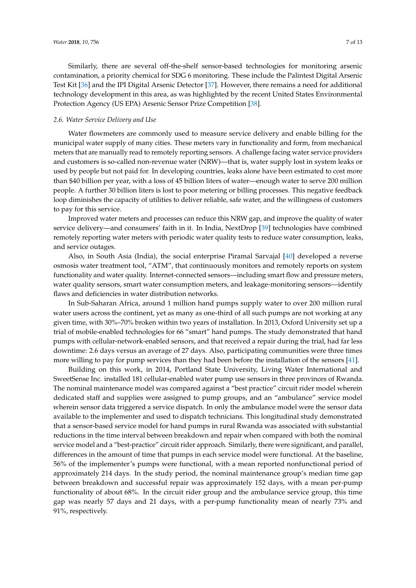Similarly, there are several off-the-shelf sensor-based technologies for monitoring arsenic contamination, a priority chemical for SDG 6 monitoring. These include the Palintest Digital Arsenic Test Kit [36] and the IPI Digital Arsenic Detector [37]. However, there remains a need for additional technology development in this area, as was highlighted by the recent United States Environmental Protection Agency (US EPA) Arsenic Sensor Prize Competition [38].

#### *2.6. Water Service Delivery and Use*

Water flowmeters are commonly used to measure service delivery and enable billing for the municipal water supply of many cities. These meters vary in functionality and form, from mechanical meters that are manually read to remotely reporting sensors. A challenge facing water service providers and customers is so-called non-revenue water (NRW)—that is, water supply lost in system leaks or used by people but not paid for. In developing countries, leaks alone have been estimated to cost more than \$40 billion per year, with a loss of 45 billion liters of water—enough water to serve 200 million people. A further 30 billion liters is lost to poor metering or billing processes. This negative feedback loop diminishes the capacity of utilities to deliver reliable, safe water, and the willingness of customers to pay for this service.

Improved water meters and processes can reduce this NRW gap, and improve the quality of water service delivery—and consumers' faith in it. In India, NextDrop [39] technologies have combined remotely reporting water meters with periodic water quality tests to reduce water consumption, leaks, and service outages.

Also, in South Asia (India), the social enterprise Piramal Sarvajal [40] developed a reverse osmosis water treatment tool, "ATM", that continuously monitors and remotely reports on system functionality and water quality. Internet-connected sensors—including smart flow and pressure meters, water quality sensors, smart water consumption meters, and leakage-monitoring sensors—identify flaws and deficiencies in water distribution networks.

In Sub-Saharan Africa, around 1 million hand pumps supply water to over 200 million rural water users across the continent, yet as many as one-third of all such pumps are not working at any given time, with 30%–70% broken within two years of installation. In 2013, Oxford University set up a trial of mobile-enabled technologies for 66 "smart" hand pumps. The study demonstrated that hand pumps with cellular-network-enabled sensors, and that received a repair during the trial, had far less downtime: 2.6 days versus an average of 27 days. Also, participating communities were three times more willing to pay for pump services than they had been before the installation of the sensors [41].

Building on this work, in 2014, Portland State University, Living Water International and SweetSense Inc. installed 181 cellular-enabled water pump use sensors in three provinces of Rwanda. The nominal maintenance model was compared against a "best practice" circuit rider model wherein dedicated staff and supplies were assigned to pump groups, and an "ambulance" service model wherein sensor data triggered a service dispatch. In only the ambulance model were the sensor data available to the implementer and used to dispatch technicians. This longitudinal study demonstrated that a sensor-based service model for hand pumps in rural Rwanda was associated with substantial reductions in the time interval between breakdown and repair when compared with both the nominal service model and a "best-practice" circuit rider approach. Similarly, there were significant, and parallel, differences in the amount of time that pumps in each service model were functional. At the baseline, 56% of the implementer's pumps were functional, with a mean reported nonfunctional period of approximately 214 days. In the study period, the nominal maintenance group's median time gap between breakdown and successful repair was approximately 152 days, with a mean per-pump functionality of about 68%. In the circuit rider group and the ambulance service group, this time gap was nearly 57 days and 21 days, with a per-pump functionality mean of nearly 73% and 91%, respectively.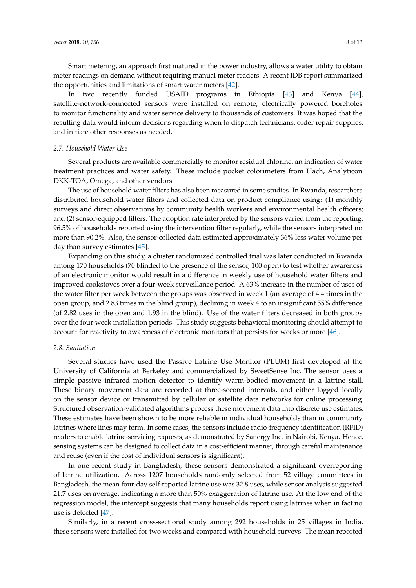Smart metering, an approach first matured in the power industry, allows a water utility to obtain meter readings on demand without requiring manual meter readers. A recent IDB report summarized the opportunities and limitations of smart water meters [42].

In two recently funded USAID programs in Ethiopia [43] and Kenya [44], satellite-network-connected sensors were installed on remote, electrically powered boreholes to monitor functionality and water service delivery to thousands of customers. It was hoped that the resulting data would inform decisions regarding when to dispatch technicians, order repair supplies, and initiate other responses as needed.

#### *2.7. Household Water Use*

Several products are available commercially to monitor residual chlorine, an indication of water treatment practices and water safety. These include pocket colorimeters from Hach, Analyticon DKK-TOA, Omega, and other vendors.

The use of household water filters has also been measured in some studies. In Rwanda, researchers distributed household water filters and collected data on product compliance using: (1) monthly surveys and direct observations by community health workers and environmental health officers; and (2) sensor-equipped filters. The adoption rate interpreted by the sensors varied from the reporting: 96.5% of households reported using the intervention filter regularly, while the sensors interpreted no more than 90.2%. Also, the sensor-collected data estimated approximately 36% less water volume per day than survey estimates [45].

Expanding on this study, a cluster randomized controlled trial was later conducted in Rwanda among 170 households (70 blinded to the presence of the sensor, 100 open) to test whether awareness of an electronic monitor would result in a difference in weekly use of household water filters and improved cookstoves over a four-week surveillance period. A 63% increase in the number of uses of the water filter per week between the groups was observed in week 1 (an average of 4.4 times in the open group, and 2.83 times in the blind group), declining in week 4 to an insignificant 55% difference (of 2.82 uses in the open and 1.93 in the blind). Use of the water filters decreased in both groups over the four-week installation periods. This study suggests behavioral monitoring should attempt to account for reactivity to awareness of electronic monitors that persists for weeks or more [46].

## *2.8. Sanitation*

Several studies have used the Passive Latrine Use Monitor (PLUM) first developed at the University of California at Berkeley and commercialized by SweetSense Inc. The sensor uses a simple passive infrared motion detector to identify warm-bodied movement in a latrine stall. These binary movement data are recorded at three-second intervals, and either logged locally on the sensor device or transmitted by cellular or satellite data networks for online processing. Structured observation-validated algorithms process these movement data into discrete use estimates. These estimates have been shown to be more reliable in individual households than in community latrines where lines may form. In some cases, the sensors include radio-frequency identification (RFID) readers to enable latrine-servicing requests, as demonstrated by Sanergy Inc. in Nairobi, Kenya. Hence, sensing systems can be designed to collect data in a cost-efficient manner, through careful maintenance and reuse (even if the cost of individual sensors is significant).

In one recent study in Bangladesh, these sensors demonstrated a significant overreporting of latrine utilization. Across 1207 households randomly selected from 52 village committees in Bangladesh, the mean four-day self-reported latrine use was 32.8 uses, while sensor analysis suggested 21.7 uses on average, indicating a more than 50% exaggeration of latrine use. At the low end of the regression model, the intercept suggests that many households report using latrines when in fact no use is detected [47].

Similarly, in a recent cross-sectional study among 292 households in 25 villages in India, these sensors were installed for two weeks and compared with household surveys. The mean reported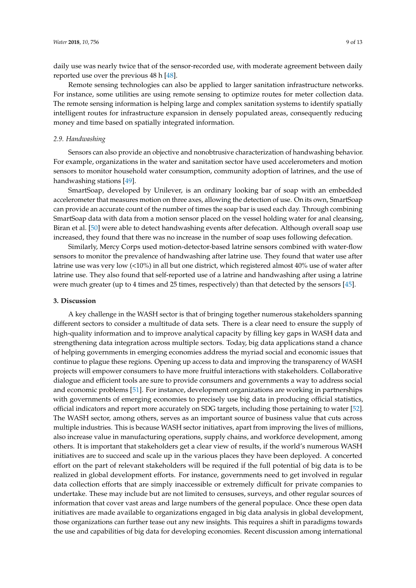daily use was nearly twice that of the sensor-recorded use, with moderate agreement between daily reported use over the previous 48 h [48].

Remote sensing technologies can also be applied to larger sanitation infrastructure networks. For instance, some utilities are using remote sensing to optimize routes for meter collection data. The remote sensing information is helping large and complex sanitation systems to identify spatially intelligent routes for infrastructure expansion in densely populated areas, consequently reducing money and time based on spatially integrated information.

#### *2.9. Handwashing*

Sensors can also provide an objective and nonobtrusive characterization of handwashing behavior. For example, organizations in the water and sanitation sector have used accelerometers and motion sensors to monitor household water consumption, community adoption of latrines, and the use of handwashing stations [49].

SmartSoap, developed by Unilever, is an ordinary looking bar of soap with an embedded accelerometer that measures motion on three axes, allowing the detection of use. On its own, SmartSoap can provide an accurate count of the number of times the soap bar is used each day. Through combining SmartSoap data with data from a motion sensor placed on the vessel holding water for anal cleansing, Biran et al. [50] were able to detect handwashing events after defecation. Although overall soap use increased, they found that there was no increase in the number of soap uses following defecation.

Similarly, Mercy Corps used motion-detector-based latrine sensors combined with water-flow sensors to monitor the prevalence of handwashing after latrine use. They found that water use after latrine use was very low (<10%) in all but one district, which registered almost 40% use of water after latrine use. They also found that self-reported use of a latrine and handwashing after using a latrine were much greater (up to 4 times and 25 times, respectively) than that detected by the sensors [45].

## **3. Discussion**

A key challenge in the WASH sector is that of bringing together numerous stakeholders spanning different sectors to consider a multitude of data sets. There is a clear need to ensure the supply of high-quality information and to improve analytical capacity by filling key gaps in WASH data and strengthening data integration across multiple sectors. Today, big data applications stand a chance of helping governments in emerging economies address the myriad social and economic issues that continue to plague these regions. Opening up access to data and improving the transparency of WASH projects will empower consumers to have more fruitful interactions with stakeholders. Collaborative dialogue and efficient tools are sure to provide consumers and governments a way to address social and economic problems [51]. For instance, development organizations are working in partnerships with governments of emerging economies to precisely use big data in producing official statistics, official indicators and report more accurately on SDG targets, including those pertaining to water [52]. The WASH sector, among others, serves as an important source of business value that cuts across multiple industries. This is because WASH sector initiatives, apart from improving the lives of millions, also increase value in manufacturing operations, supply chains, and workforce development, among others. It is important that stakeholders get a clear view of results, if the world's numerous WASH initiatives are to succeed and scale up in the various places they have been deployed. A concerted effort on the part of relevant stakeholders will be required if the full potential of big data is to be realized in global development efforts. For instance, governments need to get involved in regular data collection efforts that are simply inaccessible or extremely difficult for private companies to undertake. These may include but are not limited to censuses, surveys, and other regular sources of information that cover vast areas and large numbers of the general populace. Once these open data initiatives are made available to organizations engaged in big data analysis in global development, those organizations can further tease out any new insights. This requires a shift in paradigms towards the use and capabilities of big data for developing economies. Recent discussion among international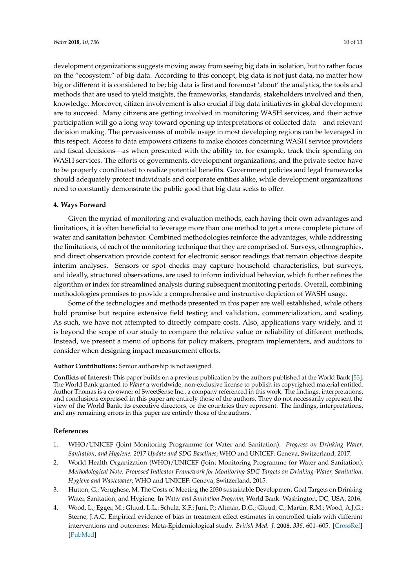development organizations suggests moving away from seeing big data in isolation, but to rather focus on the "ecosystem" of big data. According to this concept, big data is not just data, no matter how big or different it is considered to be; big data is first and foremost 'about' the analytics, the tools and methods that are used to yield insights, the frameworks, standards, stakeholders involved and then, knowledge. Moreover, citizen involvement is also crucial if big data initiatives in global development are to succeed. Many citizens are getting involved in monitoring WASH services, and their active participation will go a long way toward opening up interpretations of collected data—and relevant decision making. The pervasiveness of mobile usage in most developing regions can be leveraged in this respect. Access to data empowers citizens to make choices concerning WASH service providers and fiscal decisions—as when presented with the ability to, for example, track their spending on WASH services. The efforts of governments, development organizations, and the private sector have to be properly coordinated to realize potential benefits. Government policies and legal frameworks should adequately protect individuals and corporate entities alike, while development organizations need to constantly demonstrate the public good that big data seeks to offer.

#### **4. Ways Forward**

Given the myriad of monitoring and evaluation methods, each having their own advantages and limitations, it is often beneficial to leverage more than one method to get a more complete picture of water and sanitation behavior. Combined methodologies reinforce the advantages, while addressing the limitations, of each of the monitoring technique that they are comprised of. Surveys, ethnographies, and direct observation provide context for electronic sensor readings that remain objective despite interim analyses. Sensors or spot checks may capture household characteristics, but surveys, and ideally, structured observations, are used to inform individual behavior, which further refines the algorithm or index for streamlined analysis during subsequent monitoring periods. Overall, combining methodologies promises to provide a comprehensive and instructive depiction of WASH usage.

Some of the technologies and methods presented in this paper are well established, while others hold promise but require extensive field testing and validation, commercialization, and scaling. As such, we have not attempted to directly compare costs. Also, applications vary widely, and it is beyond the scope of our study to compare the relative value or reliability of different methods. Instead, we present a menu of options for policy makers, program implementers, and auditors to consider when designing impact measurement efforts.

#### **Author Contributions:** Senior authorship is not assigned.

**Conflicts of Interest:** This paper builds on a previous publication by the authors published at the World Bank [53]. The World Bank granted to *Water* a worldwide, non-exclusive license to publish its copyrighted material entitled. Author Thomas is a co-owner of SweetSense Inc., a company referenced in this work. The findings, interpretations, and conclusions expressed in this paper are entirely those of the authors. They do not necessarily represent the view of the World Bank, its executive directors, or the countries they represent. The findings, interpretations, and any remaining errors in this paper are entirely those of the authors.

#### **References**

- 1. WHO/UNICEF (Joint Monitoring Programme for Water and Sanitation). *Progress on Drinking Water, Sanitation, and Hygiene: 2017 Update and SDG Baselines*; WHO and UNICEF: Geneva, Switzerland, 2017.
- 2. World Health Organization (WHO)/UNICEF (Joint Monitoring Programme for Water and Sanitation). *Methodological Note: Proposed Indicator Framework for Monitoring SDG Targets on Drinking-Water, Sanitation, Hygiene and Wastewater*; WHO and UNICEF: Geneva, Switzerland, 2015.
- 3. Hutton, G.; Verughese, M. The Costs of Meeting the 2030 sustainable Development Goal Targets on Drinking Water, Sanitation, and Hygiene. In *Water and Sanitation Program*; World Bank: Washington, DC, USA, 2016.
- 4. Wood, L.; Egger, M.; Gluud, L.L.; Schulz, K.F.; Jüni, P.; Altman, D.G.; Gluud, C.; Martin, R.M.; Wood, A.J.G.; Sterne, J.A.C. Empirical evidence of bias in treatment effect estimates in controlled trials with different interventions and outcomes: Meta-Epidemiological study. *British Med. J.* **2008**, *336*, 601–605. [\[CrossRef\]](http://dx.doi.org/10.1136/bmj.39465.451748.AD) [\[PubMed\]](http://www.ncbi.nlm.nih.gov/pubmed/18316340)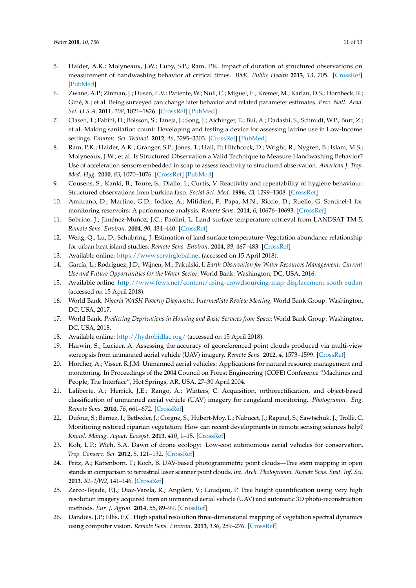- 5. Halder, A.K.; Molyneaux, J.W.; Luby, S.P.; Ram, P.K. Impact of duration of structured observations on measurement of handwashing behavior at critical times. *BMC Public Health* **2013**, *13*, 705. [\[CrossRef\]](http://dx.doi.org/10.1186/1471-2458-13-705) [\[PubMed\]](http://www.ncbi.nlm.nih.gov/pubmed/23915098)
- 6. Zwane, A.P.; Zinman, J.; Dusen, E.V.; Pariente, W.; Null, C.; Miguel, E.; Kremer, M.; Karlan, D.S.; Hornbeck, R.; Giné, X.; et al. Being surveyed can change later behavior and related parameter estimates. *Proc. Natl. Acad. Sci. U.S.A.* **2011**, *108*, 1821–1826. [\[CrossRef\]](http://dx.doi.org/10.1073/pnas.1000776108) [\[PubMed\]](http://www.ncbi.nlm.nih.gov/pubmed/21245314)
- 7. Clasen, T.; Fabini, D.; Boisson, S.; Taneja, J.; Song, J.; Aichinger, E.; Bui, A.; Dadashi, S.; Schmidt, W.P.; Burt, Z.; et al. Making sanitation count: Developing and testing a device for assessing latrine use in Low-Income settings. *Environ. Sci. Technol.* **2012**, *46*, 3295–3303. [\[CrossRef\]](http://dx.doi.org/10.1021/es2036702) [\[PubMed\]](http://www.ncbi.nlm.nih.gov/pubmed/22321123)
- 8. Ram, P.K.; Halder, A.K.; Granger, S.P.; Jones, T.; Hall, P.; Hitchcock, D.; Wright, R.; Nygren, B.; Islam, M.S.; Molyneaux, J.W.; et al. Is Structured Observation a Valid Technique to Measure Handwashing Behavior? Use of acceleration sensors embedded in soap to assess reactivity to structured observation. *American J. Trop. Med. Hyg.* **2010**, *83*, 1070–1076. [\[CrossRef\]](http://dx.doi.org/10.4269/ajtmh.2010.09-0763) [\[PubMed\]](http://www.ncbi.nlm.nih.gov/pubmed/21036840)
- 9. Cousens, S.; Kanki, B.; Toure, S.; Diallo, I.; Curtis, V. Reactivity and repeatability of hygiene behaviour: Structured observations from burkina faso. *Social Sci. Med.* **1996**, *43*, 1299–1308. [\[CrossRef\]](http://dx.doi.org/10.1016/0277-9536(95)00380-0)
- 10. Amitrano, D.; Martino, G.D.; Iodice, A.; Mitidieri, F.; Papa, M.N.; Riccio, D.; Ruello, G. Sentinel-1 for monitoring reservoirs: A performance analysis. *Remote Sens.* **2014**, *6*, 10676–10693. [\[CrossRef\]](http://dx.doi.org/10.3390/rs61110676)
- 11. Sobrino, J.; Jiménez-Muñoz, J.C.; Paolini, L. Land surface temperature retrieval from LANDSAT TM 5. *Remote Sens. Environ.* **2004**, *90*, 434–440. [\[CrossRef\]](http://dx.doi.org/10.1016/j.rse.2004.02.003)
- 12. Weng, Q.; Lu, D.; Schubring, J. Estimation of land surface temperature–Vegetation abundance relationship for urban heat island studies. *Remote Sens. Environ.* **2004**, *89*, 467–483. [\[CrossRef\]](http://dx.doi.org/10.1016/j.rse.2003.11.005)
- 13. Available online: <https://www.servirglobal.net> (accessed on 15 April 2018).
- 14. García, L.; Rodríguez, J.D.; Wijnen, M.; Pakulski, I. *Earth Observation for Water Resources Management: Current Use and Future Opportunities for the Water Sector*; World Bank: Washington, DC, USA, 2016.
- 15. Available online: <http://www.fews.net/content/using-crowdsourcing-map-displacement-south-sudan> (accessed on 15 April 2018).
- 16. World Bank. *Nigeria WASH Poverty Diagnostic: Intermediate Review Meeting*; World Bank Group: Washington, DC, USA, 2017.
- 17. World Bank. *Predicting Deprivations in Housing and Basic Services from Space*; World Bank Group: Washington, DC, USA, 2018.
- 18. Available online: <http://hydrobidlac.org/> (accessed on 15 April 2018).
- 19. Harwin, S.; Lucieer, A. Assessing the accuracy of georeferenced point clouds produced via multi-view stereopsis from unmanned aerial vehicle (UAV) imagery. *Remote Sens.* **2012**, *4*, 1573–1599. [\[CrossRef\]](http://dx.doi.org/10.3390/rs4061573)
- 20. Horcher, A.; Visser, R.J.M. Unmanned aerial vehicles: Applications for natural resource management and monitoring. In Proceedings of the 2004 Council on Forest Engineering (COFE) Conference "Machines and People, The Interface", Hot Springs, AR, USA, 27–30 April 2004.
- 21. Laliberte, A.; Herrick, J.E.; Rango, A.; Winters, C. Acquisition, orthorectification, and object-based classification of unmanned aerial vehicle (UAV) imagery for rangeland monitoring. *Photogramm. Eng. Remote Sens.* **2010**, *76*, 661–672. [\[CrossRef\]](http://dx.doi.org/10.14358/PERS.76.6.661)
- 22. Dufour, S.; Bernez, I.; Betbeder, J.; Corgne, S.; Hubert-Moy, L.; Nabucet, J.; Rapinel, S.; Sawtschuk, J.; Trollè, C. Monitoring restored riparian vegetation: How can recent developments in remote sensing sciences help? *Knowl. Manag. Aquat. Ecosyst.* **2013**, *410*, 1–15. [\[CrossRef\]](http://dx.doi.org/10.1051/kmae/2013068)
- 23. Koh, L.P.; Wich, S.A. Dawn of drone ecology: Low-cost autonomous aerial vehicles for conservation. *Trop. Conserv. Sci.* **2012**, *5*, 121–132. [\[CrossRef\]](http://dx.doi.org/10.1177/194008291200500202)
- 24. Fritz, A.; Kattenborn, T.; Koch, B. UAV-based photogrammetric point clouds—Tree stem mapping in open stands in comparison to terrestrial laser scanner point clouds. *Int. Arch. Photogramm. Remote Sens. Spat. Inf. Sci.* **2013**, *XL-1/W2*, 141–146. [\[CrossRef\]](http://dx.doi.org/10.5194/isprsarchives-XL-1-W2-141-2013)
- 25. Zarco-Tejada, P.J.; Diaz-Varela, R.; Angileri, V.; Loudjani, P. Tree height quantification using very high resolution imagery acquired from an unmanned aerial vehicle (UAV) and automatic 3D photo-reconstruction methods. *Eur. J. Agron.* **2014**, *55*, 89–99. [\[CrossRef\]](http://dx.doi.org/10.1016/j.eja.2014.01.004)
- 26. Dandois, J.P.; Ellis, E.C. High spatial resolution three-dimensional mapping of vegetation spectral dynamics using computer vision. *Remote Sens. Environ.* **2013**, *136*, 259–276. [\[CrossRef\]](http://dx.doi.org/10.1016/j.rse.2013.04.005)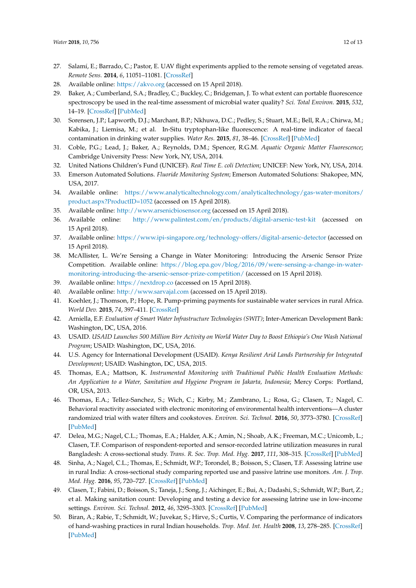- 27. Salamí, E.; Barrado, C.; Pastor, E. UAV flight experiments applied to the remote sensing of vegetated areas. *Remote Sens.* **2014**, *6*, 11051–11081. [\[CrossRef\]](http://dx.doi.org/10.3390/rs61111051)
- 28. Available online: <https://akvo.org> (accessed on 15 April 2018).
- 29. Baker, A.; Cumberland, S.A.; Bradley, C.; Buckley, C.; Bridgeman, J. To what extent can portable fluorescence spectroscopy be used in the real-time assessment of microbial water quality? *Sci. Total Environ.* **2015**, *532*, 14–19. [\[CrossRef\]](http://dx.doi.org/10.1016/j.scitotenv.2015.05.114) [\[PubMed\]](http://www.ncbi.nlm.nih.gov/pubmed/26057622)
- 30. Sorensen, J.P.; Lapworth, D.J.; Marchant, B.P.; Nkhuwa, D.C.; Pedley, S.; Stuart, M.E.; Bell, R.A.; Chirwa, M.; Kabika, J.; Liemisa, M.; et al. In-Situ tryptophan-like fluorescence: A real-time indicator of faecal contamination in drinking water supplies. *Water Res.* **2015**, *81*, 38–46. [\[CrossRef\]](http://dx.doi.org/10.1016/j.watres.2015.05.035) [\[PubMed\]](http://www.ncbi.nlm.nih.gov/pubmed/26026711)
- 31. Coble, P.G.; Lead, J.; Baker, A.; Reynolds, D.M.; Spencer, R.G.M. *Aquatic Organic Matter Fluorescence*; Cambridge University Press: New York, NY, USA, 2014.
- 32. United Nations Children's Fund (UNICEF). *Real Time E. coli Detection*; UNICEF: New York, NY, USA, 2014.
- 33. Emerson Automated Solutions. *Fluoride Monitoring System*; Emerson Automated Solutions: Shakopee, MN, USA, 2017.
- 34. Available online: [https://www.analyticaltechnology.com/analyticaltechnology/gas-water-monitors/](https://www.analyticaltechnology.com/analyticaltechnology/gas-water-monitors/product.aspx?ProductID=1052) [product.aspx?ProductID=1052](https://www.analyticaltechnology.com/analyticaltechnology/gas-water-monitors/product.aspx?ProductID=1052) (accessed on 15 April 2018).
- 35. Available online: <http://www.arsenicbiosensor.org> (accessed on 15 April 2018).
- 36. Available online: <http://www.palintest.com/en/products/digital-arsenic-test-kit> (accessed on 15 April 2018).
- 37. Available online: <https://www.ipi-singapore.org/technology-offers/digital-arsenic-detector> (accessed on 15 April 2018).
- 38. McAllister, L. We're Sensing a Change in Water Monitoring: Introducing the Arsenic Sensor Prize Competition. Available online: [https://blog.epa.gov/blog/2016/09/were-sensing-a-change-in-water](https://blog.epa.gov/blog/2016/09/were-sensing-a-change-in-water-monitoring-introducing-the-arsenic-sensor-prize-competition/)[monitoring-introducing-the-arsenic-sensor-prize-competition/](https://blog.epa.gov/blog/2016/09/were-sensing-a-change-in-water-monitoring-introducing-the-arsenic-sensor-prize-competition/) (accessed on 15 April 2018).
- 39. Available online: <https://nextdrop.co> (accessed on 15 April 2018).
- 40. Available online: <http://www.sarvajal.com> (accessed on 15 April 2018).
- 41. Koehler, J.; Thomson, P.; Hope, R. Pump-priming payments for sustainable water services in rural Africa. *World Dev.* **2015**, *74*, 397–411. [\[CrossRef\]](http://dx.doi.org/10.1016/j.worlddev.2015.05.020)
- 42. Arniella, E.F. *Evaluation of Smart Water Infrastructure Technologies (SWIT)*; Inter-American Development Bank: Washington, DC, USA, 2016.
- 43. USAID. *USAID Launches 500 Million Birr Activity on World Water Day to Boost Ethiopia's One Wash National Program*; USAID: Washington, DC, USA, 2016.
- 44. U.S. Agency for International Development (USAID). *Kenya Resilient Arid Lands Partnership for Integrated Development*; USAID: Washington, DC, USA, 2015.
- 45. Thomas, E.A.; Mattson, K. *Instrumented Monitoring with Traditional Public Health Evaluation Methods: An Application to a Water, Sanitation and Hygiene Program in Jakarta, Indonesia*; Mercy Corps: Portland, OR, USA, 2013.
- 46. Thomas, E.A.; Tellez-Sanchez, S.; Wich, C.; Kirby, M.; Zambrano, L.; Rosa, G.; Clasen, T.; Nagel, C. Behavioral reactivity associated with electronic monitoring of environmental health interventions—A cluster randomized trial with water filters and cookstoves. *Environ. Sci. Technol.* **2016**, *50*, 3773–3780. [\[CrossRef\]](http://dx.doi.org/10.1021/acs.est.6b00161) [\[PubMed\]](http://www.ncbi.nlm.nih.gov/pubmed/26986617)
- 47. Delea, M.G.; Nagel, C.L.; Thomas, E.A.; Halder, A.K.; Amin, N.; Shoab, A.K.; Freeman, M.C.; Unicomb, L.; Clasen, T.F. Comparison of respondent-reported and sensor-recorded latrine utilization measures in rural Bangladesh: A cross-sectional study. *Trans. R. Soc. Trop. Med. Hyg.* **2017**, *111*, 308–315. [\[CrossRef\]](http://dx.doi.org/10.1093/trstmh/trx058) [\[PubMed\]](http://www.ncbi.nlm.nih.gov/pubmed/29126213)
- 48. Sinha, A.; Nagel, C.L.; Thomas, E.; Schmidt, W.P.; Torondel, B.; Boisson, S.; Clasen, T.F. Assessing latrine use in rural India: A cross-sectional study comparing reported use and passive latrine use monitors. *Am. J. Trop. Med. Hyg.* **2016**, *95*, 720–727. [\[CrossRef\]](http://dx.doi.org/10.4269/ajtmh.16-0102) [\[PubMed\]](http://www.ncbi.nlm.nih.gov/pubmed/27458042)
- 49. Clasen, T.; Fabini, D.; Boisson, S.; Taneja, J.; Song, J.; Aichinger, E.; Bui, A.; Dadashi, S.; Schmidt, W.P.; Burt, Z.; et al. Making sanitation count: Developing and testing a device for assessing latrine use in low-income settings. *Environ. Sci. Technol.* **2012**, *46*, 3295–3303. [\[CrossRef\]](http://dx.doi.org/10.1021/es2036702) [\[PubMed\]](http://www.ncbi.nlm.nih.gov/pubmed/22321123)
- 50. Biran, A.; Rabie, T.; Schmidt, W.; Juvekar, S.; Hirve, S.; Curtis, V. Comparing the performance of indicators of hand-washing practices in rural Indian households. *Trop. Med. Int. Health* **2008**, *13*, 278–285. [\[CrossRef\]](http://dx.doi.org/10.1111/j.1365-3156.2007.02001.x) [\[PubMed\]](http://www.ncbi.nlm.nih.gov/pubmed/18304276)